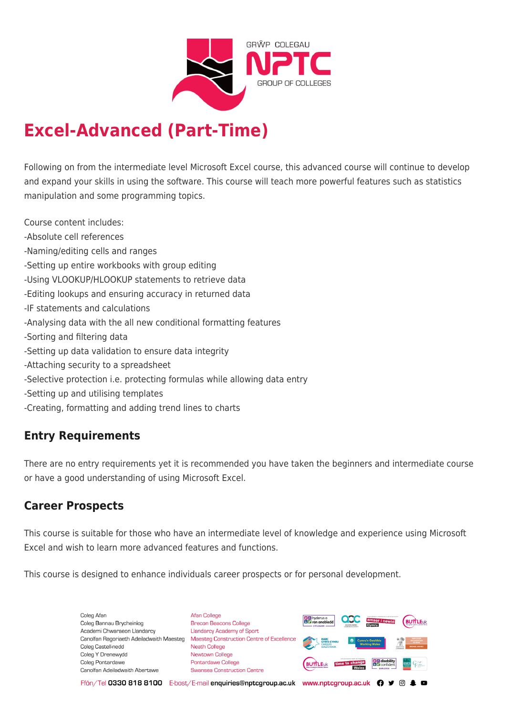

# **Excel-Advanced (Part-Time)**

Following on from the intermediate level Microsoft Excel course, this advanced course will continue to develop and expand your skills in using the software. This course will teach more powerful features such as statistics manipulation and some programming topics.

Course content includes:

- -Absolute cell references
- -Naming/editing cells and ranges
- -Setting up entire workbooks with group editing
- -Using VLOOKUP/HLOOKUP statements to retrieve data
- -Editing lookups and ensuring accuracy in returned data
- -IF statements and calculations
- -Analysing data with the all new conditional formatting features
- -Sorting and filtering data
- -Setting up data validation to ensure data integrity
- -Attaching security to a spreadsheet
- -Selective protection i.e. protecting formulas while allowing data entry
- -Setting up and utilising templates
- -Creating, formatting and adding trend lines to charts

## **Entry Requirements**

There are no entry requirements yet it is recommended you have taken the beginners and intermediate course or have a good understanding of using Microsoft Excel.

#### **Career Prospects**

This course is suitable for those who have an intermediate level of knowledge and experience using Microsoft Excel and wish to learn more advanced features and functions.

This course is designed to enhance individuals career prospects or for personal development.

Coleg Afar Coleg Bannau Brycheiniog Academi Chwaraeon Llandarcy Coleg Castell-nedd Coleg Y Drenewydd Coleg Pontardawe Canolfan Adeiladwaith Abertawe

**Afan College** Brecon Beacons College **Llandarcy Academy of Sport** Canolfan Ragoriaeth Adeiladwaith Maesteg Maesteg Construction Centre of Excellence Neath College Newtown College Pontardawe College Swansea Construction Centre



Ffôn/Tel 0330 818 8100 E-bost/E-mail enquiries@nptcgroup.ac.uk www.nptcgroup.ac.uk ? • © \$